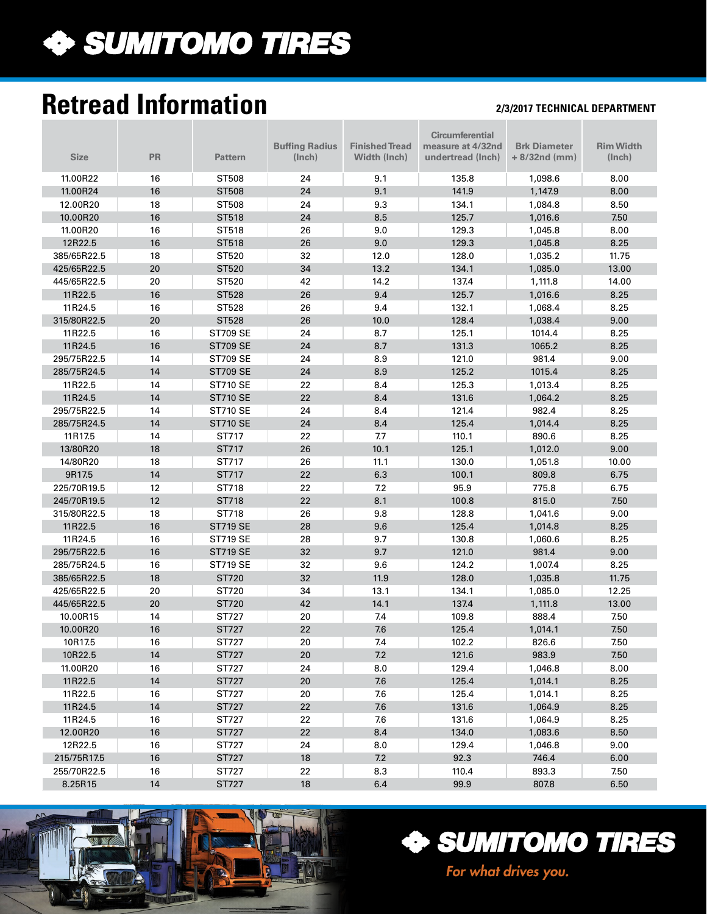

# **Retread Information**

#### **2/3/2017 TECHNICAL DEPARTMENT**

|             |           |                 |                       |                       | <b>Circumferential</b> |                     |                  |
|-------------|-----------|-----------------|-----------------------|-----------------------|------------------------|---------------------|------------------|
|             |           |                 | <b>Buffing Radius</b> | <b>Finished Tread</b> | measure at 4/32nd      | <b>Brk Diameter</b> | <b>Rim Width</b> |
| <b>Size</b> | <b>PR</b> | <b>Pattern</b>  | (Inch)                | Width (Inch)          | undertread (Inch)      | $+8/32nd$ (mm)      | (Inch)           |
|             |           |                 |                       |                       |                        |                     |                  |
| 11.00R22    | 16        | ST508           | 24                    | 9.1                   | 135.8                  | 1,098.6             | 8.00             |
| 11.00R24    | 16        | <b>ST508</b>    | 24                    | 9.1                   | 141.9                  | 1,147.9             | 8.00             |
| 12.00R20    | 18        | ST508           | 24                    | 9.3                   | 134.1                  | 1,084.8             | 8.50             |
| 10.00R20    | 16        | ST518           | 24                    | 8.5                   | 125.7                  | 1,016.6             | 7.50             |
| 11.00R20    | 16        | ST518           | 26                    | 9.0                   | 129.3                  | 1,045.8             | 8.00             |
| 12R22.5     | 16        | ST518           | 26                    | 9.0                   | 129.3                  | 1,045.8             | 8.25             |
| 385/65R22.5 | 18        | ST520           | 32                    | 12.0                  | 128.0                  | 1,035.2             | 11.75            |
| 425/65R22.5 | 20        | ST520           | 34                    | 13.2                  | 134.1                  | 1,085.0             | 13.00            |
| 445/65R22.5 | 20        | ST520           | 42                    | 14.2                  | 137.4                  | 1,111.8             | 14.00            |
| 11R22.5     | 16        | <b>ST528</b>    | 26                    | 9.4                   | 125.7                  | 1,016.6             | 8.25             |
| 11R24.5     | 16        | ST528           | 26                    | 9.4                   | 132.1                  | 1,068.4             | 8.25             |
| 315/80R22.5 | 20        | <b>ST528</b>    | 26                    | 10.0                  | 128.4                  | 1,038.4             | 9.00             |
| 11R22.5     | 16        | <b>ST709 SE</b> | 24                    | 8.7                   | 125.1                  | 1014.4              | 8.25             |
| 11R24.5     | 16        | <b>ST709 SE</b> | 24                    | 8.7                   | 131.3                  | 1065.2              | 8.25             |
| 295/75R22.5 | 14        | <b>ST709 SE</b> | 24                    | 8.9                   | 121.0                  | 981.4               | 9.00             |
| 285/75R24.5 | 14        | <b>ST709 SE</b> | 24                    | 8.9                   | 125.2                  | 1015.4              | 8.25             |
| 11R22.5     | 14        | <b>ST710 SE</b> | 22                    | 8.4                   | 125.3                  | 1,013.4             | 8.25             |
| 11R24.5     | 14        | <b>ST710 SE</b> | 22                    | 8.4                   | 131.6                  | 1,064.2             | 8.25             |
| 295/75R22.5 | 14        | <b>ST710 SE</b> | 24                    | 8.4                   | 121.4                  | 982.4               | 8.25             |
| 285/75R24.5 | 14        | <b>ST710 SE</b> | 24                    | 8.4                   | 125.4                  | 1,014.4             | 8.25             |
| 11R17.5     | 14        | ST717           | 22                    | 7.7                   | 110.1                  | 890.6               | 8.25             |
| 13/80R20    | 18        | ST717           | 26                    | 10.1                  | 125.1                  | 1,012.0             | 9.00             |
| 14/80R20    | 18        | ST717           | 26                    | 11.1                  | 130.0                  | 1,051.8             | 10.00            |
| 9R17.5      | 14        | ST717           | 22                    | 6.3                   | 100.1                  | 809.8               | 6.75             |
| 225/70R19.5 | 12        | ST718           | 22                    | 7.2                   | 95.9                   | 775.8               | 6.75             |
| 245/70R19.5 | 12        | ST718           | 22                    | 8.1                   | 100.8                  | 815.0               | 7.50             |
| 315/80R22.5 | 18        | ST718           | 26                    | 9.8                   | 128.8                  | 1,041.6             | 9.00             |
| 11R22.5     | 16        | <b>ST719 SE</b> | 28                    | 9.6                   | 125.4                  | 1,014.8             | 8.25             |
| 11R24.5     | 16        | <b>ST719 SE</b> | 28                    | 9.7                   | 130.8                  | 1,060.6             | 8.25             |
| 295/75R22.5 | 16        | <b>ST719 SE</b> | 32                    | 9.7                   | 121.0                  | 981.4               | 9.00             |
| 285/75R24.5 | 16        | <b>ST719 SE</b> | 32                    | 9.6                   | 124.2                  | 1,007.4             | 8.25             |
| 385/65R22.5 | 18        | ST720           | 32                    | 11.9                  | 128.0                  | 1,035.8             | 11.75            |
| 425/65R22.5 | 20        | ST720           | 34                    | 13.1                  | 134.1                  | 1,085.0             | 12.25            |
| 445/65R22.5 | 20        | ST720           | 42                    | 14.1                  | 137.4                  | 1,111.8             | 13.00            |
| 10.00R15    | 14        | ST727           | 20                    | 7.4                   | 109.8                  | 888.4               | 7.50             |
| 10.00R20    | 16        | ST727           | 22                    | 7.6                   | 125.4                  | 1,014.1             | 7.50             |
| 10R17.5     | $16\,$    | ST727           | $20\,$                | 7.4                   | 102.2                  | 826.6               | 7.50             |
| 10R22.5     | 14        | ST727           | 20                    | 7.2                   | 121.6                  | 983.9               | 7.50             |
| 11.00R20    | 16        | ST727           | 24                    | 8.0                   | 129.4                  | 1,046.8             | 8.00             |
| 11R22.5     | 14        | ST727           | 20                    | 7.6                   | 125.4                  | 1,014.1             | 8.25             |
| 11R22.5     | 16        | ST727           | 20                    | 7.6                   | 125.4                  | 1,014.1             | 8.25             |
| 11R24.5     | 14        | ST727           | 22                    | 7.6                   | 131.6                  | 1,064.9             | 8.25             |
| 11R24.5     | 16        | ST727           | 22                    | 7.6                   | 131.6                  | 1,064.9             | 8.25             |
| 12.00R20    | 16        | ST727           | 22                    | 8.4                   | 134.0                  | 1,083.6             | 8.50             |
| 12R22.5     | 16        | ST727           | 24                    | 8.0                   | 129.4                  | 1,046.8             | 9.00             |
| 215/75R17.5 | 16        | ST727           | 18                    | 7.2                   | 92.3                   | 746.4               | 6.00             |
| 255/70R22.5 | 16        | ST727           | 22                    | 8.3                   | 110.4                  | 893.3               | 7.50             |
| 8.25R15     | $14\,$    | ST727           | $18\,$                | 6.4                   | 99.9                   | 807.8               | 6.50             |





*For what drives you.*